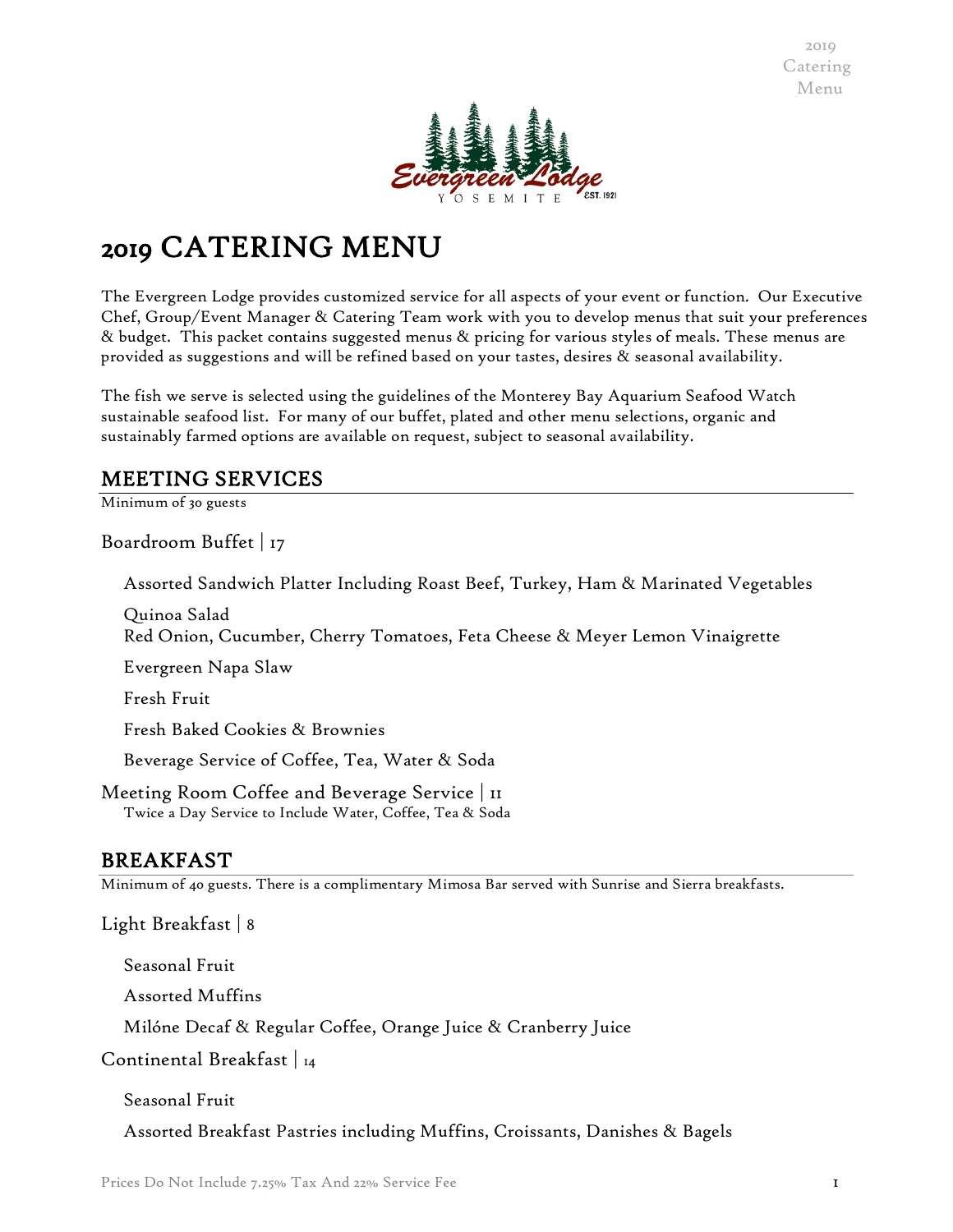

# 2019 CATERING MENU

The Evergreen Lodge provides customized service for all aspects of your event or function. Our Executive Chef, Group/Event Manager & Catering Team work with you to develop menus that suit your preferences & budget. This packet contains suggested menus & pricing for various styles of meals. These menus are provided as suggestions and will be refined based on your tastes, desires & seasonal availability.

The fish we serve is selected using the guidelines of the Monterey Bay Aquarium Seafood Watch sustainable seafood list. For many of our buffet, plated and other menu selections, organic and sustainably farmed options are available on request, subject to seasonal availability.

# MEETING SERVICES

Minimum of 30 guests

Boardroom Buffet | 17

Assorted Sandwich Platter Including Roast Beef, Turkey, Ham & Marinated Vegetables

Quinoa Salad Red Onion, Cucumber, Cherry Tomatoes, Feta Cheese & Meyer Lemon Vinaigrette

Evergreen Napa Slaw

Fresh Fruit

Fresh Baked Cookies & Brownies

Beverage Service of Coffee, Tea, Water & Soda

Meeting Room Coffee and Beverage Service | 11 Twice a Day Service to Include Water, Coffee, Tea & Soda

# BREAKFAST

Minimum of 40 guests. There is a complimentary Mimosa Bar served with Sunrise and Sierra breakfasts.

Light Breakfast | 8

Seasonal Fruit

Assorted Muffins

Milóne Decaf & Regular Coffee, Orange Juice & Cranberry Juice

Continental Breakfast | 14

Seasonal Fruit

Assorted Breakfast Pastries including Muffins, Croissants, Danishes & Bagels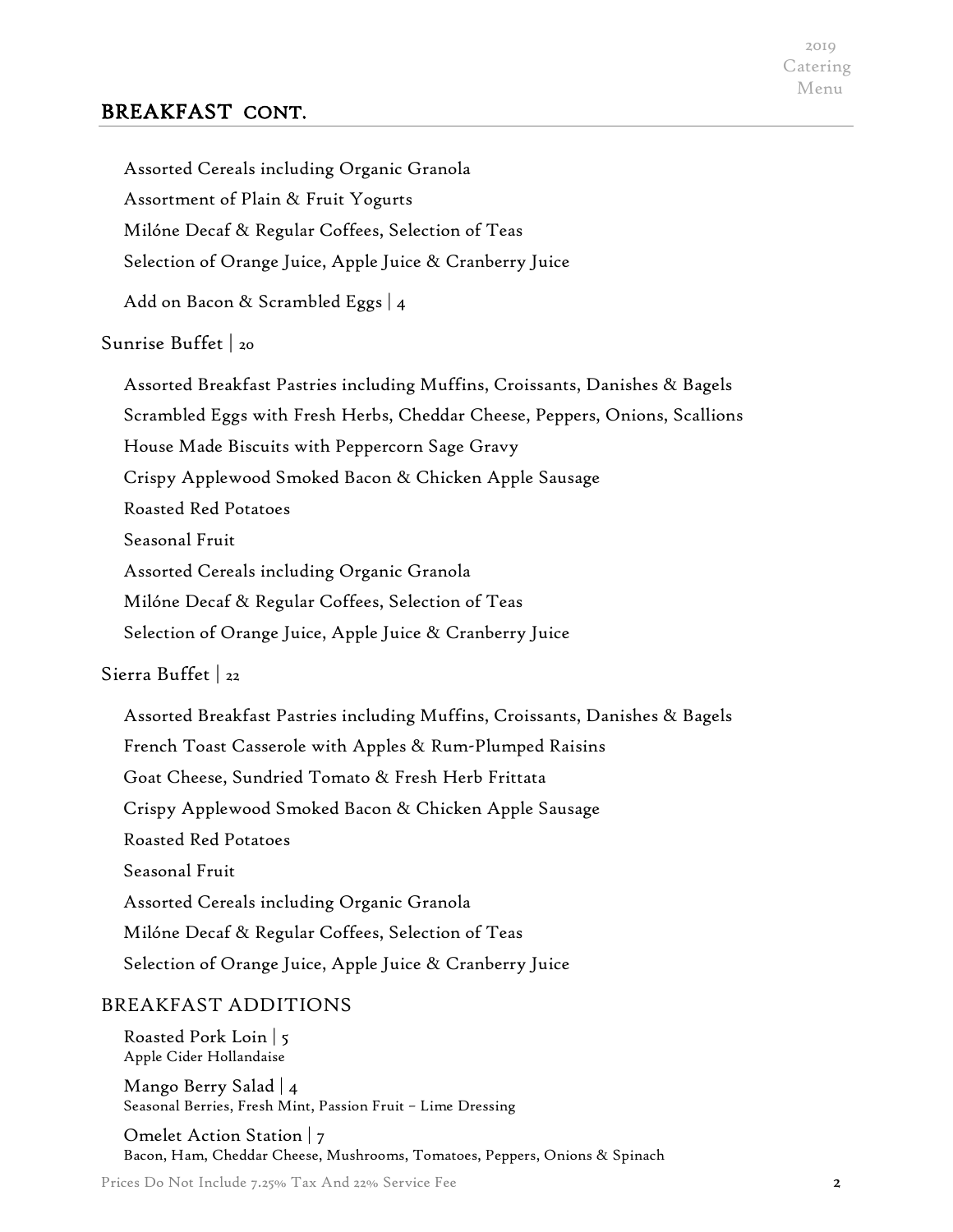# BREAKFAST CONT.

| Assorted Cereals including Organic Granola                                   |
|------------------------------------------------------------------------------|
| Assortment of Plain & Fruit Yogurts                                          |
| Milóne Decaf & Regular Coffees, Selection of Teas                            |
| Selection of Orange Juice, Apple Juice & Cranberry Juice                     |
| Add on Bacon & Scrambled Eggs   4                                            |
| Sunrise Buffet   20                                                          |
| Assorted Breakfast Pastries including Muffins, Croissants, Danishes & Bagels |
| Scrambled Eggs with Fresh Herbs, Cheddar Cheese, Peppers, Onions, Scallions  |
| House Made Biscuits with Peppercorn Sage Gravy                               |
| Crispy Applewood Smoked Bacon & Chicken Apple Sausage                        |
| <b>Roasted Red Potatoes</b>                                                  |
| Seasonal Fruit                                                               |
| Assorted Cereals including Organic Granola                                   |
| Milóne Decaf & Regular Coffees, Selection of Teas                            |
| Selection of Orange Juice, Apple Juice & Cranberry Juice                     |
| Sierra Buffet   22                                                           |
| Assorted Breakfast Pastries including Muffins, Croissants, Danishes & Bagels |
| French Toast Casserole with Apples & Rum-Plumped Raisins                     |
| Goat Cheese, Sundried Tomato & Fresh Herb Frittata                           |

Crispy Applewood Smoked Bacon & Chicken Apple Sausage

Roasted Red Potatoes

Seasonal Fruit

Assorted Cereals including Organic Granola

Milóne Decaf & Regular Coffees, Selection of Teas

Selection of Orange Juice, Apple Juice & Cranberry Juice

# BREAKFAST ADDITIONS

Roasted Pork Loin | 5 Apple Cider Hollandaise

Mango Berry Salad | 4 Seasonal Berries, Fresh Mint, Passion Fruit – Lime Dressing

Omelet Action Station | 7 Bacon, Ham, Cheddar Cheese, Mushrooms, Tomatoes, Peppers, Onions & Spinach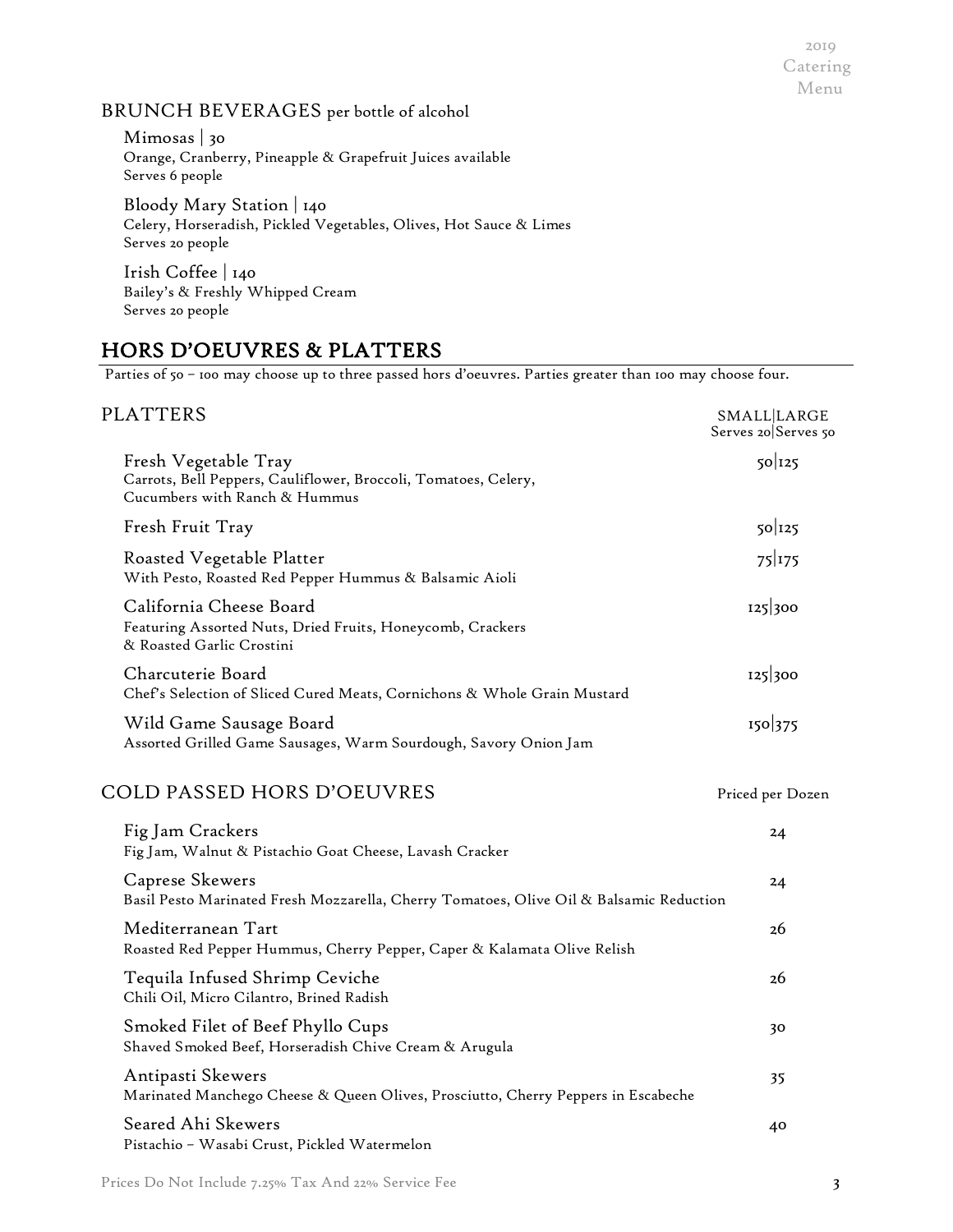## BRUNCH BEVERAGES per bottle of alcohol

Mimosas | 30 Orange, Cranberry, Pineapple & Grapefruit Juices available Serves 6 people

Bloody Mary Station | 140 Celery, Horseradish, Pickled Vegetables, Olives, Hot Sauce & Limes Serves 20 people

Irish Coffee | 140 Bailey's & Freshly Whipped Cream Serves 20 people

# HORS D'OEUVRES & PLATTERS

Parties of 50 – 100 may choose up to three passed hors d'oeuvres. Parties greater than 100 may choose four.

| <b>PLATTERS</b>                                                                                                          | <b>SMALL LARGE</b><br>Serves 20 Serves 50 |
|--------------------------------------------------------------------------------------------------------------------------|-------------------------------------------|
| Fresh Vegetable Tray<br>Carrots, Bell Peppers, Cauliflower, Broccoli, Tomatoes, Celery,<br>Cucumbers with Ranch & Hummus | $50$ <sup>125</sup>                       |
| Fresh Fruit Tray                                                                                                         | $50$ <sup>125</sup>                       |
| Roasted Vegetable Platter<br>With Pesto, Roasted Red Pepper Hummus & Balsamic Aioli                                      | 75 175                                    |
| California Cheese Board<br>Featuring Assorted Nuts, Dried Fruits, Honeycomb, Crackers<br>& Roasted Garlic Crostini       | 125 300                                   |
| Charcuterie Board<br>Chef's Selection of Sliced Cured Meats, Cornichons & Whole Grain Mustard                            | 125 300                                   |
| Wild Game Sausage Board<br>Assorted Grilled Game Sausages, Warm Sourdough, Savory Onion Jam                              | 150 375                                   |
| <b>COLD PASSED HORS D'OEUVRES</b>                                                                                        | Priced per Dozen                          |
| Fig Jam Crackers<br>Fig Jam, Walnut & Pistachio Goat Cheese, Lavash Cracker                                              | 24                                        |
| Caprese Skewers<br>Basil Pesto Marinated Fresh Mozzarella, Cherry Tomatoes, Olive Oil & Balsamic Reduction               | 24                                        |
| Mediterranean Tart<br>Roasted Red Pepper Hummus, Cherry Pepper, Caper & Kalamata Olive Relish                            | 26                                        |
| Tequila Infused Shrimp Ceviche<br>Chili Oil, Micro Cilantro, Brined Radish                                               | 26                                        |
| Smoked Filet of Beef Phyllo Cups<br>Shaved Smoked Beef, Horseradish Chive Cream & Arugula                                | 30                                        |
| Antipasti Skewers<br>Marinated Manchego Cheese & Queen Olives, Prosciutto, Cherry Peppers in Escabeche                   | 35                                        |
| Seared Ahi Skewers<br>Pistachio - Wasabi Crust, Pickled Watermelon                                                       | 40                                        |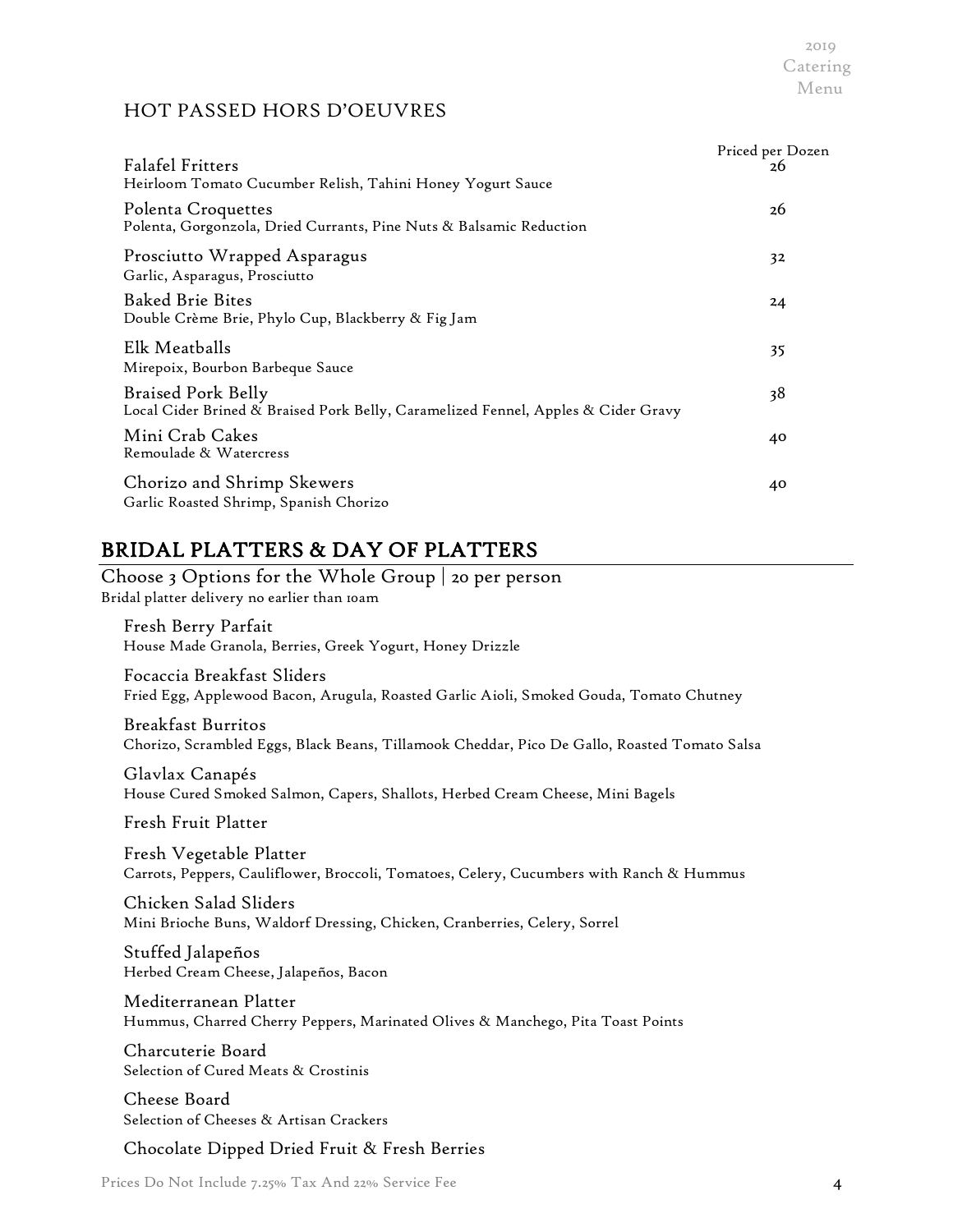## HOT PASSED HORS D'OEUVRES

| <b>Falafel Fritters</b><br>Heirloom Tomato Cucumber Relish, Tahini Honey Yogurt Sauce                          | Priced per Dozen<br>26 |
|----------------------------------------------------------------------------------------------------------------|------------------------|
| Polenta Croquettes<br>Polenta, Gorgonzola, Dried Currants, Pine Nuts & Balsamic Reduction                      | 26                     |
| Prosciutto Wrapped Asparagus<br>Garlic, Asparagus, Prosciutto                                                  | 32                     |
| <b>Baked Brie Bites</b><br>Double Crème Brie, Phylo Cup, Blackberry & Fig Jam                                  | 24                     |
| Elk Meatballs<br>Mirepoix, Bourbon Barbeque Sauce                                                              | 35                     |
| <b>Braised Pork Belly</b><br>Local Cider Brined & Braised Pork Belly, Caramelized Fennel, Apples & Cider Gravy | 38                     |
| Mini Crab Cakes<br>Remoulade & Watercress                                                                      | 40                     |
| Chorizo and Shrimp Skewers<br>Garlic Roasted Shrimp, Spanish Chorizo                                           | 40                     |

# BRIDAL PLATTERS & DAY OF PLATTERS

Choose 3 Options for the Whole Group | 20 per person Bridal platter delivery no earlier than 10am

Fresh Berry Parfait House Made Granola, Berries, Greek Yogurt, Honey Drizzle

Focaccia Breakfast Sliders Fried Egg, Applewood Bacon, Arugula, Roasted Garlic Aioli, Smoked Gouda, Tomato Chutney

Breakfast Burritos Chorizo, Scrambled Eggs, Black Beans, Tillamook Cheddar, Pico De Gallo, Roasted Tomato Salsa

Glavlax Canapés House Cured Smoked Salmon, Capers, Shallots, Herbed Cream Cheese, Mini Bagels

Fresh Fruit Platter

Fresh Vegetable Platter Carrots, Peppers, Cauliflower, Broccoli, Tomatoes, Celery, Cucumbers with Ranch & Hummus

Chicken Salad Sliders Mini Brioche Buns, Waldorf Dressing, Chicken, Cranberries, Celery, Sorrel

Stuffed Jalapeños Herbed Cream Cheese, Jalapeños, Bacon

Mediterranean Platter Hummus, Charred Cherry Peppers, Marinated Olives & Manchego, Pita Toast Points

Charcuterie Board Selection of Cured Meats & Crostinis

Cheese Board Selection of Cheeses & Artisan Crackers

Chocolate Dipped Dried Fruit & Fresh Berries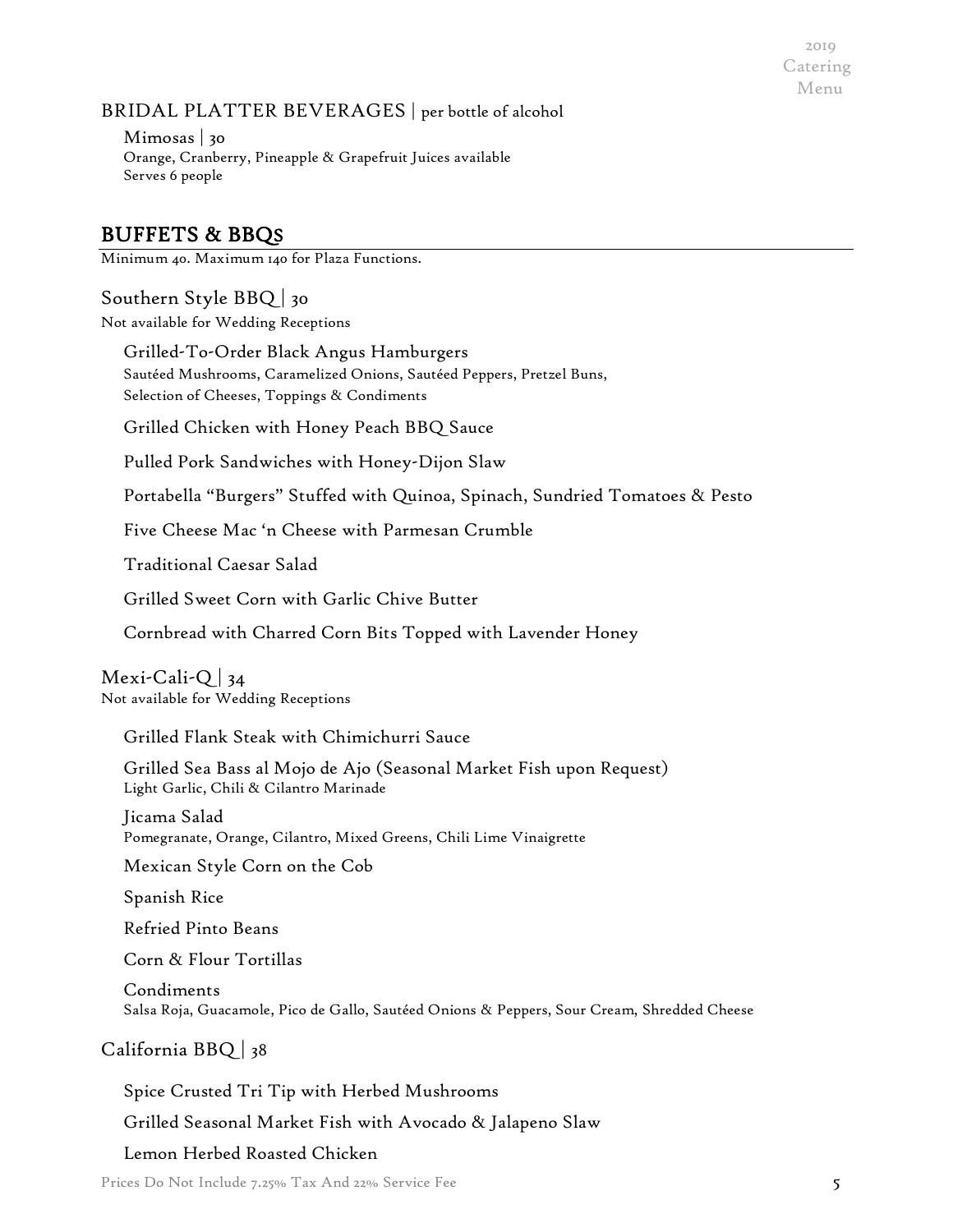## BRIDAL PLATTER BEVERAGES | per bottle of alcohol

Mimosas | 30 Orange, Cranberry, Pineapple & Grapefruit Juices available Serves 6 people

# BUFFETS & BBQS

Minimum 40. Maximum 140 for Plaza Functions.

## Southern Style BBQ | 30

Not available for Wedding Receptions

Grilled-To-Order Black Angus Hamburgers Sautéed Mushrooms, Caramelized Onions, Sautéed Peppers, Pretzel Buns, Selection of Cheeses, Toppings & Condiments

Grilled Chicken with Honey Peach BBQ Sauce

Pulled Pork Sandwiches with Honey-Dijon Slaw

Portabella "Burgers" Stuffed with Quinoa, Spinach, Sundried Tomatoes & Pesto

Five Cheese Mac 'n Cheese with Parmesan Crumble

Traditional Caesar Salad

Grilled Sweet Corn with Garlic Chive Butter

Cornbread with Charred Corn Bits Topped with Lavender Honey

Mexi-Cali-Q  $|34$ Not available for Wedding Receptions

Grilled Flank Steak with Chimichurri Sauce

Grilled Sea Bass al Mojo de Ajo (Seasonal Market Fish upon Request) Light Garlic, Chili & Cilantro Marinade

Jicama Salad Pomegranate, Orange, Cilantro, Mixed Greens, Chili Lime Vinaigrette

Mexican Style Corn on the Cob

Spanish Rice

Refried Pinto Beans

Corn & Flour Tortillas

Condiments Salsa Roja, Guacamole, Pico de Gallo, Sautéed Onions & Peppers, Sour Cream, Shredded Cheese

## California BBQ | 38

Spice Crusted Tri Tip with Herbed Mushrooms

Grilled Seasonal Market Fish with Avocado & Jalapeno Slaw

Lemon Herbed Roasted Chicken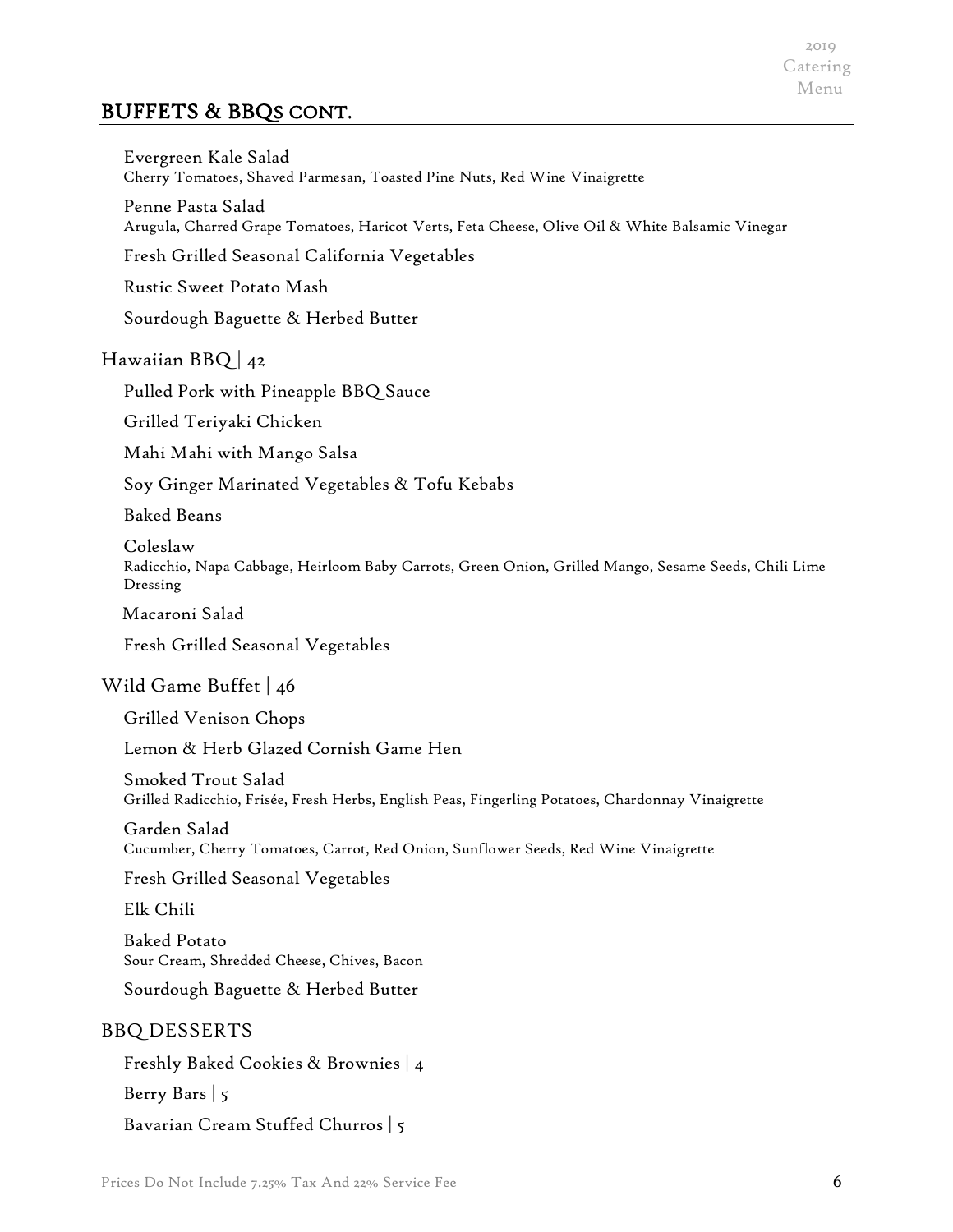# BUFFETS & BBQS CONT.

Evergreen Kale Salad Cherry Tomatoes, Shaved Parmesan, Toasted Pine Nuts, Red Wine Vinaigrette

Penne Pasta Salad Arugula, Charred Grape Tomatoes, Haricot Verts, Feta Cheese, Olive Oil & White Balsamic Vinegar

Fresh Grilled Seasonal California Vegetables

Rustic Sweet Potato Mash

Sourdough Baguette & Herbed Butter

## Hawaiian BBQ  $|_{42}$

Pulled Pork with Pineapple BBQ Sauce

Grilled Teriyaki Chicken

Mahi Mahi with Mango Salsa

Soy Ginger Marinated Vegetables & Tofu Kebabs

Baked Beans

Coleslaw Radicchio, Napa Cabbage, Heirloom Baby Carrots, Green Onion, Grilled Mango, Sesame Seeds, Chili Lime Dressing

Macaroni Salad

Fresh Grilled Seasonal Vegetables

#### Wild Game Buffet | 46

Grilled Venison Chops

Lemon & Herb Glazed Cornish Game Hen

Smoked Trout Salad Grilled Radicchio, Frisée, Fresh Herbs, English Peas, Fingerling Potatoes, Chardonnay Vinaigrette

Garden Salad Cucumber, Cherry Tomatoes, Carrot, Red Onion, Sunflower Seeds, Red Wine Vinaigrette

Fresh Grilled Seasonal Vegetables

Elk Chili

Baked Potato Sour Cream, Shredded Cheese, Chives, Bacon

Sourdough Baguette & Herbed Butter

#### BBQ DESSERTS

Freshly Baked Cookies & Brownies | 4

Berry Bars | 5

Bavarian Cream Stuffed Churros | 5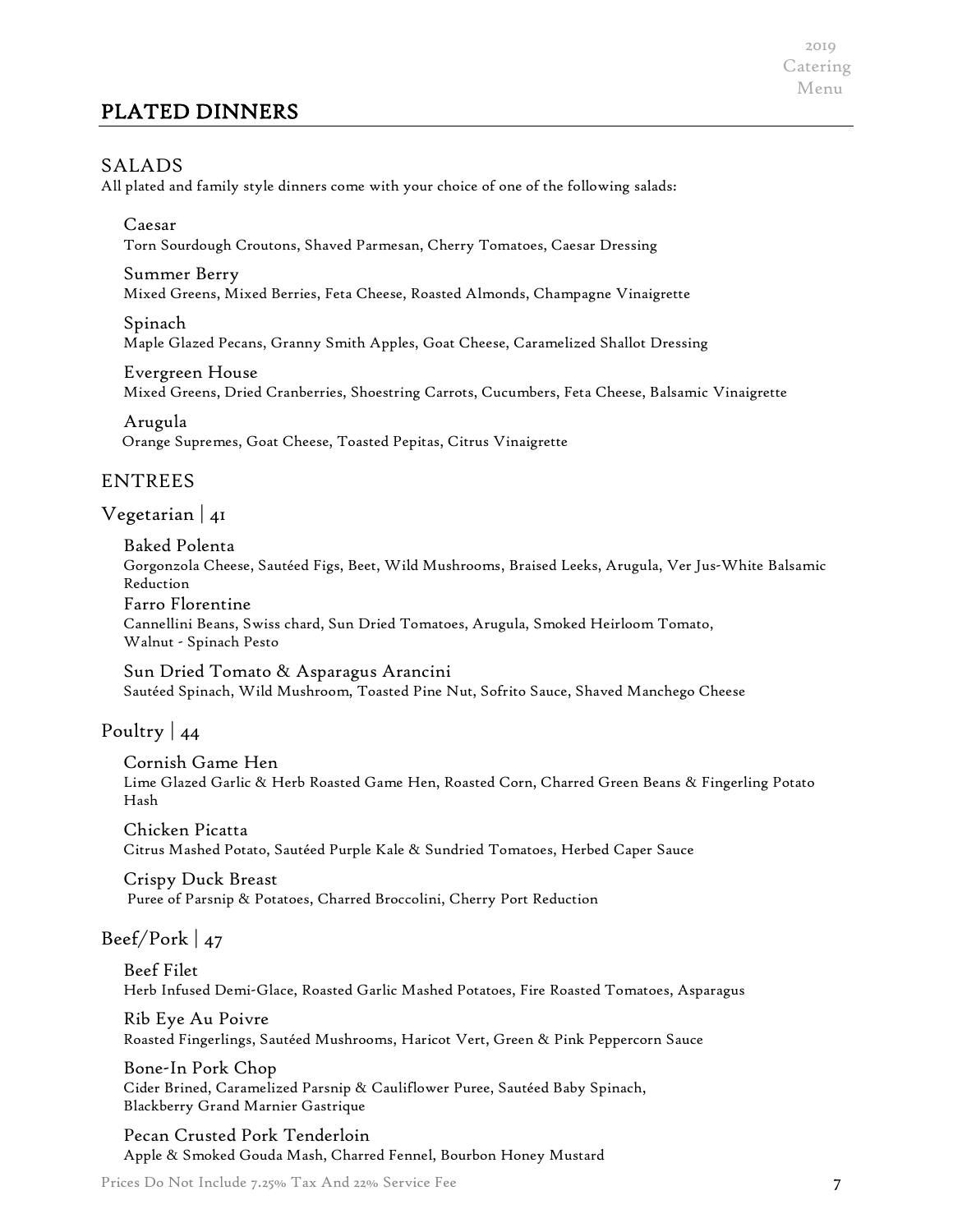# PLATED DINNERS

2019 Catering Menu

#### SALADS

All plated and family style dinners come with your choice of one of the following salads:

#### Caesar

Torn Sourdough Croutons, Shaved Parmesan, Cherry Tomatoes, Caesar Dressing

#### Summer Berry

Mixed Greens, Mixed Berries, Feta Cheese, Roasted Almonds, Champagne Vinaigrette

Spinach

Maple Glazed Pecans, Granny Smith Apples, Goat Cheese, Caramelized Shallot Dressing

#### Evergreen House

Mixed Greens, Dried Cranberries, Shoestring Carrots, Cucumbers, Feta Cheese, Balsamic Vinaigrette

Arugula Orange Supremes, Goat Cheese, Toasted Pepitas, Citrus Vinaigrette

#### ENTREES

Vegetarian | 41

Baked Polenta Gorgonzola Cheese, Sautéed Figs, Beet, Wild Mushrooms, Braised Leeks, Arugula, Ver Jus-White Balsamic Reduction Farro Florentine Cannellini Beans, Swiss chard, Sun Dried Tomatoes, Arugula, Smoked Heirloom Tomato, Walnut - Spinach Pesto

Sun Dried Tomato & Asparagus Arancini Sautéed Spinach, Wild Mushroom, Toasted Pine Nut, Sofrito Sauce, Shaved Manchego Cheese

Poultry | 44

Cornish Game Hen Lime Glazed Garlic & Herb Roasted Game Hen, Roasted Corn, Charred Green Beans & Fingerling Potato Hash

Chicken Picatta Citrus Mashed Potato, Sautéed Purple Kale & Sundried Tomatoes, Herbed Caper Sauce

Crispy Duck Breast Puree of Parsnip & Potatoes, Charred Broccolini, Cherry Port Reduction

#### Beef/Pork  $|47$

Beef Filet Herb Infused Demi-Glace, Roasted Garlic Mashed Potatoes, Fire Roasted Tomatoes, Asparagus

Rib Eye Au Poivre Roasted Fingerlings, Sautéed Mushrooms, Haricot Vert, Green & Pink Peppercorn Sauce

Bone-In Pork Chop Cider Brined, Caramelized Parsnip & Cauliflower Puree, Sautéed Baby Spinach, Blackberry Grand Marnier Gastrique

Pecan Crusted Pork Tenderloin Apple & Smoked Gouda Mash, Charred Fennel, Bourbon Honey Mustard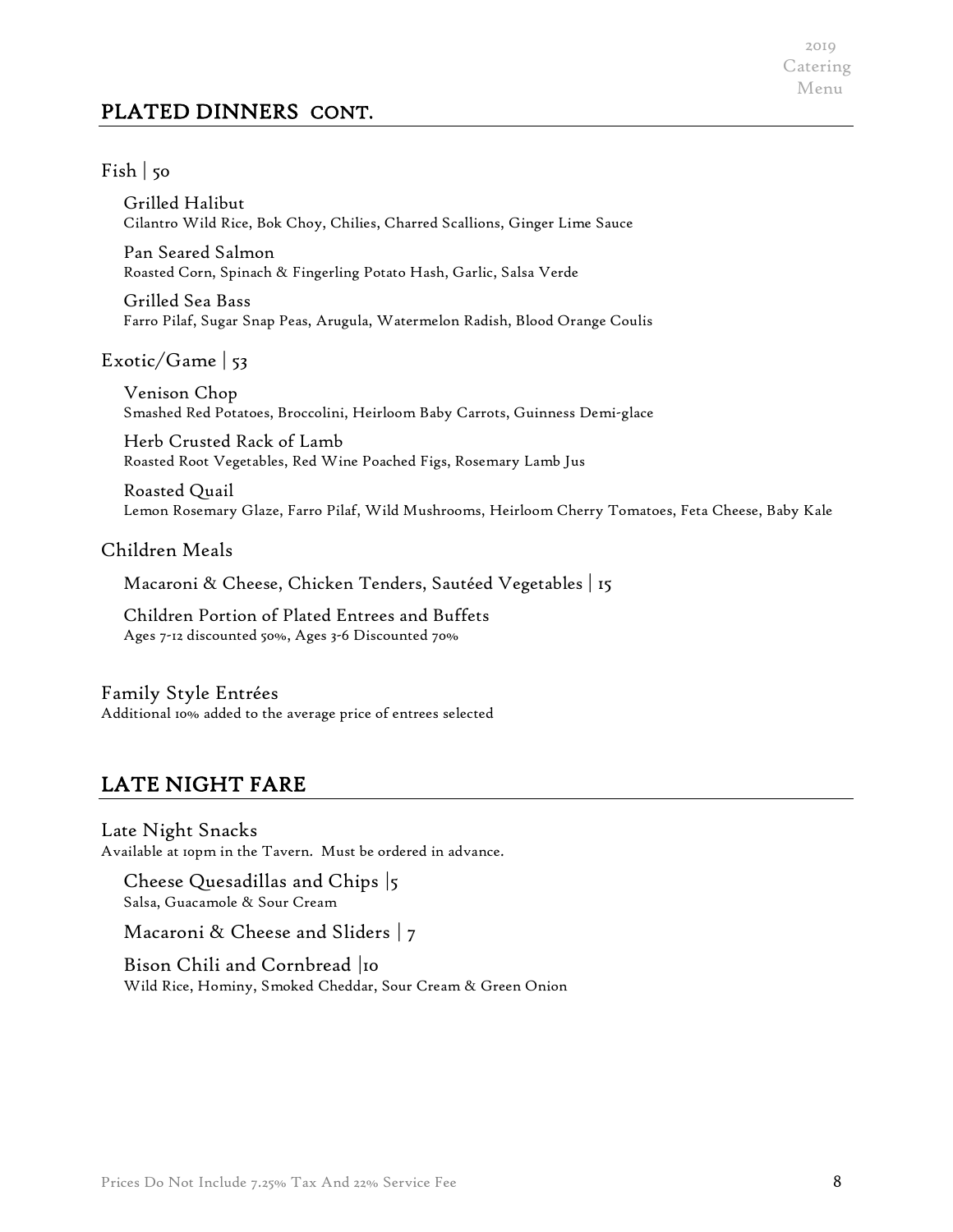# PLATED DINNERS CONT.

2019 Catering Menu

#### $Fish | 50$

Grilled Halibut Cilantro Wild Rice, Bok Choy, Chilies, Charred Scallions, Ginger Lime Sauce

Pan Seared Salmon Roasted Corn, Spinach & Fingerling Potato Hash, Garlic, Salsa Verde

Grilled Sea Bass Farro Pilaf, Sugar Snap Peas, Arugula, Watermelon Radish, Blood Orange Coulis

#### Exotic/Game | 53

Venison Chop Smashed Red Potatoes, Broccolini, Heirloom Baby Carrots, Guinness Demi-glace

Herb Crusted Rack of Lamb Roasted Root Vegetables, Red Wine Poached Figs, Rosemary Lamb Jus

Roasted Quail Lemon Rosemary Glaze, Farro Pilaf, Wild Mushrooms, Heirloom Cherry Tomatoes, Feta Cheese, Baby Kale

#### Children Meals

Macaroni & Cheese, Chicken Tenders, Sautéed Vegetables | 15

Children Portion of Plated Entrees and Buffets Ages 7-12 discounted 50%, Ages 3-6 Discounted 70%

#### Family Style Entrées Additional 10% added to the average price of entrees selected

## LATE NIGHT FARE

Late Night Snacks Available at 10pm in the Tavern. Must be ordered in advance.

Cheese Quesadillas and Chips |5 Salsa, Guacamole & Sour Cream

Macaroni & Cheese and Sliders | 7

Bison Chili and Cornbread |10 Wild Rice, Hominy, Smoked Cheddar, Sour Cream & Green Onion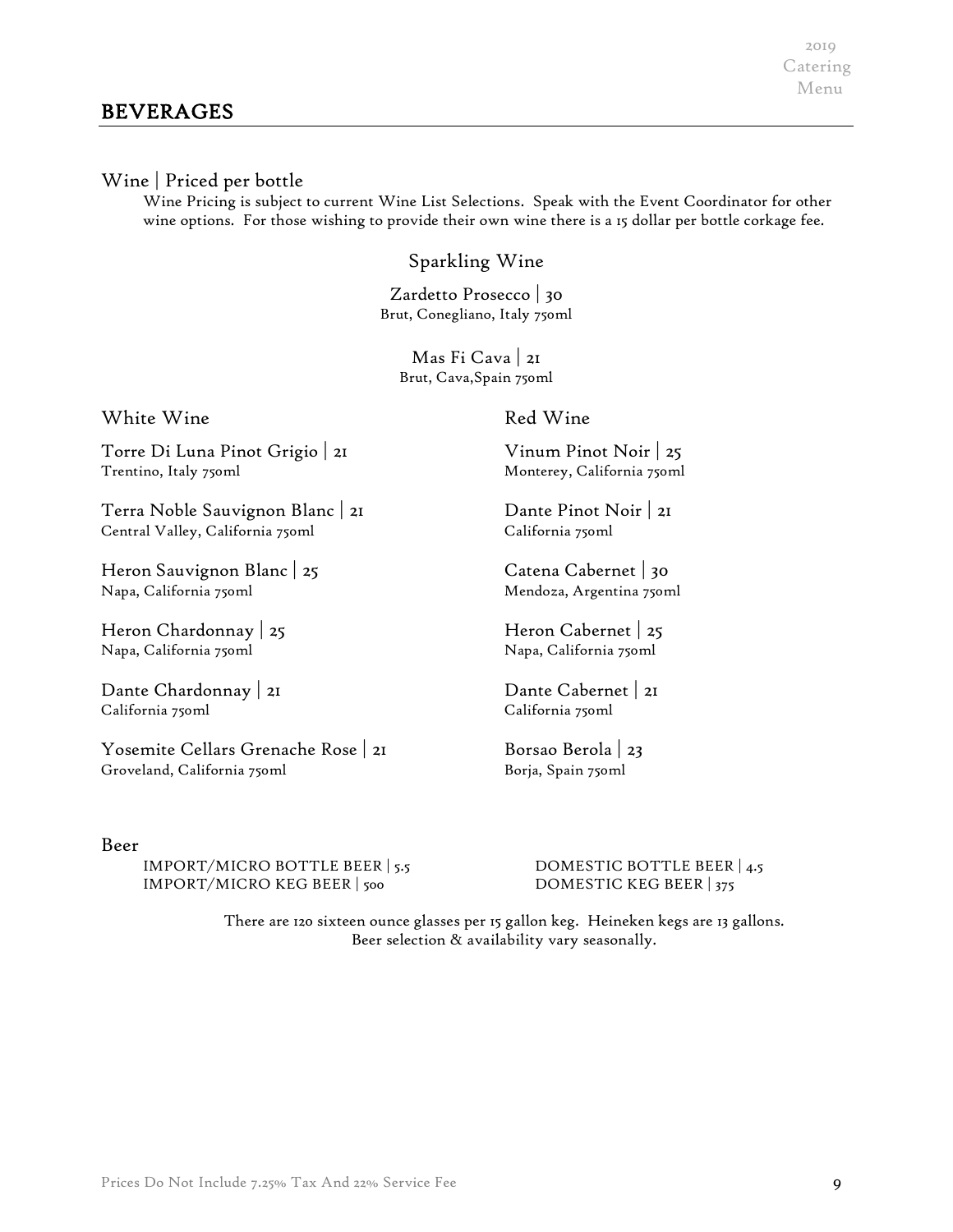#### Wine | Priced per bottle

Wine Pricing is subject to current Wine List Selections. Speak with the Event Coordinator for other wine options. For those wishing to provide their own wine there is a 15 dollar per bottle corkage fee.

## Sparkling Wine

Zardetto Prosecco | 30 Brut, Conegliano, Italy 750ml

Mas Fi Cava | 21 Brut, Cava,Spain 750ml

White Wine

#### Red Wine

Torre Di Luna Pinot Grigio | 21 Trentino, Italy 750ml

Terra Noble Sauvignon Blanc | 21 Central Valley, California 750ml

Heron Sauvignon Blanc | 25 Napa, California 750ml

Heron Chardonnay | 25 Napa, California 750ml

Dante Chardonnay | 21 California 750ml

Yosemite Cellars Grenache Rose | 21 Groveland, California 750ml

#### Beer

IMPORT/MICRO BOTTLE BEER | 5.5 DOMESTIC BOTTLE BEER | 4.5 IMPORT/MICRO KEG BEER | 500 DOMESTIC KEG BEER | 375

Vinum Pinot Noir | 25 Monterey, California 750ml

Dante Pinot Noir | 21 California 750ml

Catena Cabernet | 30 Mendoza, Argentina 750ml

Heron Cabernet | 25 Napa, California 750ml

Dante Cabernet | 21 California 750ml

Borsao Berola | 23 Borja, Spain 750ml

There are 120 sixteen ounce glasses per 15 gallon keg. Heineken kegs are 13 gallons. Beer selection & availability vary seasonally.